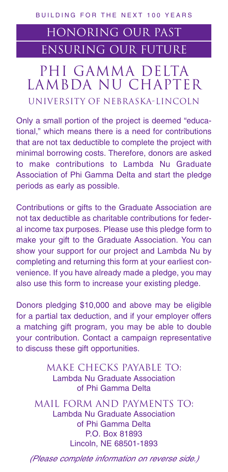## HONoRING OUR PAST ensuring OUR FUTURE

## PHI GAMMA DELTA LAMBDA NU CHAPTER UNIVERSITY OF NEBRASKA-LINCOLN

Only a small portion of the project is deemed "educational," which means there is a need for contributions that are not tax deductible to complete the project with minimal borrowing costs. Therefore, donors are asked to make contributions to Lambda Nu Graduate Association of Phi Gamma Delta and start the pledge periods as early as possible.

Contributions or gifts to the Graduate Association are not tax deductible as charitable contributions for federal income tax purposes. Please use this pledge form to make your gift to the Graduate Association. You can show your support for our project and Lambda Nu by completing and returning this form at your earliest convenience. If you have already made a pledge, you may also use this form to increase your existing pledge.

Donors pledging \$10,000 and above may be eligible for a partial tax deduction, and if your employer offers a matching gift program, you may be able to double your contribution. Contact a campaign representative to discuss these gift opportunities.

## Make Checks Payable To: Lambda Nu Graduate Association of Phi Gamma Delta

Mail Form and Payments To: Lambda Nu Graduate Association of Phi Gamma Delta P.O. Box 81893 Lincoln, NE 68501-1893

(Please complete information on reverse side.)